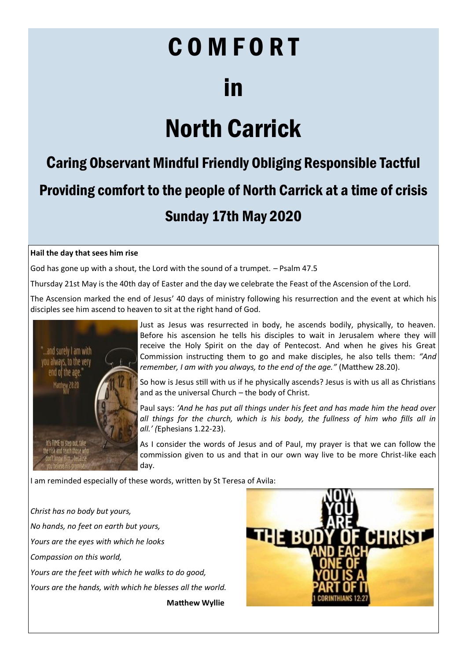# COMFORT in

# North Carrick

## Caring Observant Mindful Friendly Obliging Responsible Tactful Providing comfort to the people of North Carrick at a time of crisis Sunday 17th May 2020

### **Hail the day that sees him rise**

God has gone up with a shout, the Lord with the sound of a trumpet. – Psalm 47.5

Thursday 21st May is the 40th day of Easter and the day we celebrate the Feast of the Ascension of the Lord.

The Ascension marked the end of Jesus' 40 days of ministry following his resurrection and the event at which his disciples see him ascend to heaven to sit at the right hand of God.



Just as Jesus was resurrected in body, he ascends bodily, physically, to heaven. Before his ascension he tells his disciples to wait in Jerusalem where they will receive the Holy Spirit on the day of Pentecost. And when he gives his Great Commission instructing them to go and make disciples, he also tells them: *"And remember, I am with you always, to the end of the age."* (Matthew 28.20).

So how is Jesus still with us if he physically ascends? Jesus is with us all as Christians and as the universal Church – the body of Christ.

Paul says: *'And he has put all things under his feet and has made him the head over all things for the church, which is his body, the fullness of him who fills all in all.' (*Ephesians 1.22-23).

As I consider the words of Jesus and of Paul, my prayer is that we can follow the commission given to us and that in our own way live to be more Christ-like each day.

I am reminded especially of these words, written by St Teresa of Avila:

*Christ has no body but yours, No hands, no feet on earth but yours, Yours are the eyes with which he looks Compassion on this world, Yours are the feet with which he walks to do good, Yours are the hands, with which he blesses all the world.*  **Matthew Wyllie**

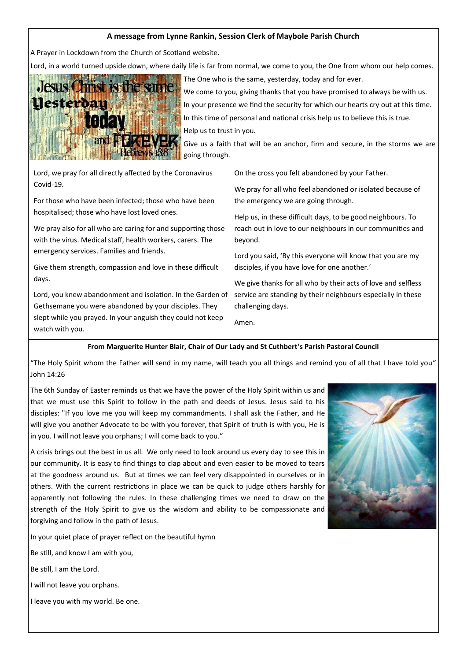### **A message from Lynne Rankin, Session Clerk of Maybole Parish Church**

A Prayer in Lockdown from the Church of Scotland website.

Lord, in a world turned upside down, where daily life is far from normal, we come to you, the One from whom our help comes.



The One who is the same, yesterday, today and for ever. We come to you, giving thanks that you have promised to always be with us. In your presence we find the security for which our hearts cry out at this time. In this time of personal and national crisis help us to believe this is true. Help us to trust in you.

Give us a faith that will be an anchor, firm and secure, in the storms we are going through.

Lord, we pray for all directly affected by the Coronavirus Covid-19.

For those who have been infected; those who have been hospitalised; those who have lost loved ones.

We pray also for all who are caring for and supporting those with the virus. Medical staff, health workers, carers. The emergency services. Families and friends.

Give them strength, compassion and love in these difficult days.

Lord, you knew abandonment and isolation. In the Garden of Gethsemane you were abandoned by your disciples. They slept while you prayed. In your anguish they could not keep watch with you.

On the cross you felt abandoned by your Father.

We pray for all who feel abandoned or isolated because of the emergency we are going through.

Help us, in these difficult days, to be good neighbours. To reach out in love to our neighbours in our communities and beyond.

Lord you said, 'By this everyone will know that you are my disciples, if you have love for one another.'

We give thanks for all who by their acts of love and selfless service are standing by their neighbours especially in these challenging days.

Amen.

### **From Marguerite Hunter Blair, Chair of Our Lady and St Cuthbert's Parish Pastoral Council**

"The Holy Spirit whom the Father will send in my name, will teach you all things and remind you of all that I have told you" John 14:26

The 6th Sunday of Easter reminds us that we have the power of the Holy Spirit within us and that we must use this Spirit to follow in the path and deeds of Jesus. Jesus said to his disciples: "If you love me you will keep my commandments. I shall ask the Father, and He will give you another Advocate to be with you forever, that Spirit of truth is with you, He is in you. I will not leave you orphans; I will come back to you."

A crisis brings out the best in us all. We only need to look around us every day to see this in our community. It is easy to find things to clap about and even easier to be moved to tears at the goodness around us. But at times we can feel very disappointed in ourselves or in others. With the current restrictions in place we can be quick to judge others harshly for apparently not following the rules. In these challenging times we need to draw on the strength of the Holy Spirit to give us the wisdom and ability to be compassionate and forgiving and follow in the path of Jesus.

In your quiet place of prayer reflect on the beautiful hymn

Be still, and know I am with you,

Be still, I am the Lord.

I will not leave you orphans.

I leave you with my world. Be one.

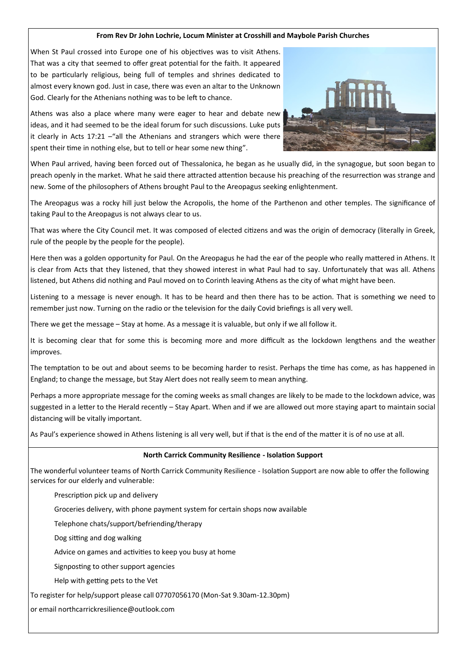#### **From Rev Dr John Lochrie, Locum Minister at Crosshill and Maybole Parish Churches**

When St Paul crossed into Europe one of his objectives was to visit Athens. That was a city that seemed to offer great potential for the faith. It appeared to be particularly religious, being full of temples and shrines dedicated to almost every known god. Just in case, there was even an altar to the Unknown God. Clearly for the Athenians nothing was to be left to chance.

Athens was also a place where many were eager to hear and debate new ideas, and it had seemed to be the ideal forum for such discussions. Luke puts it clearly in Acts 17:21 –"all the Athenians and strangers which were there spent their time in nothing else, but to tell or hear some new thing".



When Paul arrived, having been forced out of Thessalonica, he began as he usually did, in the synagogue, but soon began to preach openly in the market. What he said there attracted attention because his preaching of the resurrection was strange and new. Some of the philosophers of Athens brought Paul to the Areopagus seeking enlightenment.

The Areopagus was a rocky hill just below the Acropolis, the home of the Parthenon and other temples. The significance of taking Paul to the Areopagus is not always clear to us.

That was where the City Council met. It was composed of elected citizens and was the origin of democracy (literally in Greek, rule of the people by the people for the people).

Here then was a golden opportunity for Paul. On the Areopagus he had the ear of the people who really mattered in Athens. It is clear from Acts that they listened, that they showed interest in what Paul had to say. Unfortunately that was all. Athens listened, but Athens did nothing and Paul moved on to Corinth leaving Athens as the city of what might have been.

Listening to a message is never enough. It has to be heard and then there has to be action. That is something we need to remember just now. Turning on the radio or the television for the daily Covid briefings is all very well.

There we get the message – Stay at home. As a message it is valuable, but only if we all follow it.

It is becoming clear that for some this is becoming more and more difficult as the lockdown lengthens and the weather improves.

The temptation to be out and about seems to be becoming harder to resist. Perhaps the time has come, as has happened in England; to change the message, but Stay Alert does not really seem to mean anything.

Perhaps a more appropriate message for the coming weeks as small changes are likely to be made to the lockdown advice, was suggested in a letter to the Herald recently – Stay Apart. When and if we are allowed out more staying apart to maintain social distancing will be vitally important.

As Paul's experience showed in Athens listening is all very well, but if that is the end of the matter it is of no use at all.

#### **North Carrick Community Resilience - Isolation Support**

The wonderful volunteer teams of North Carrick Community Resilience - Isolation Support are now able to offer the following services for our elderly and vulnerable:

Prescription pick up and delivery

Groceries delivery, with phone payment system for certain shops now available

Telephone chats/support/befriending/therapy

Dog sitting and dog walking

Advice on games and activities to keep you busy at home

Signposting to other support agencies

Help with getting pets to the Vet

To register for help/support please call 07707056170 (Mon-Sat 9.30am-12.30pm)

or email northcarrickresilience@outlook.com